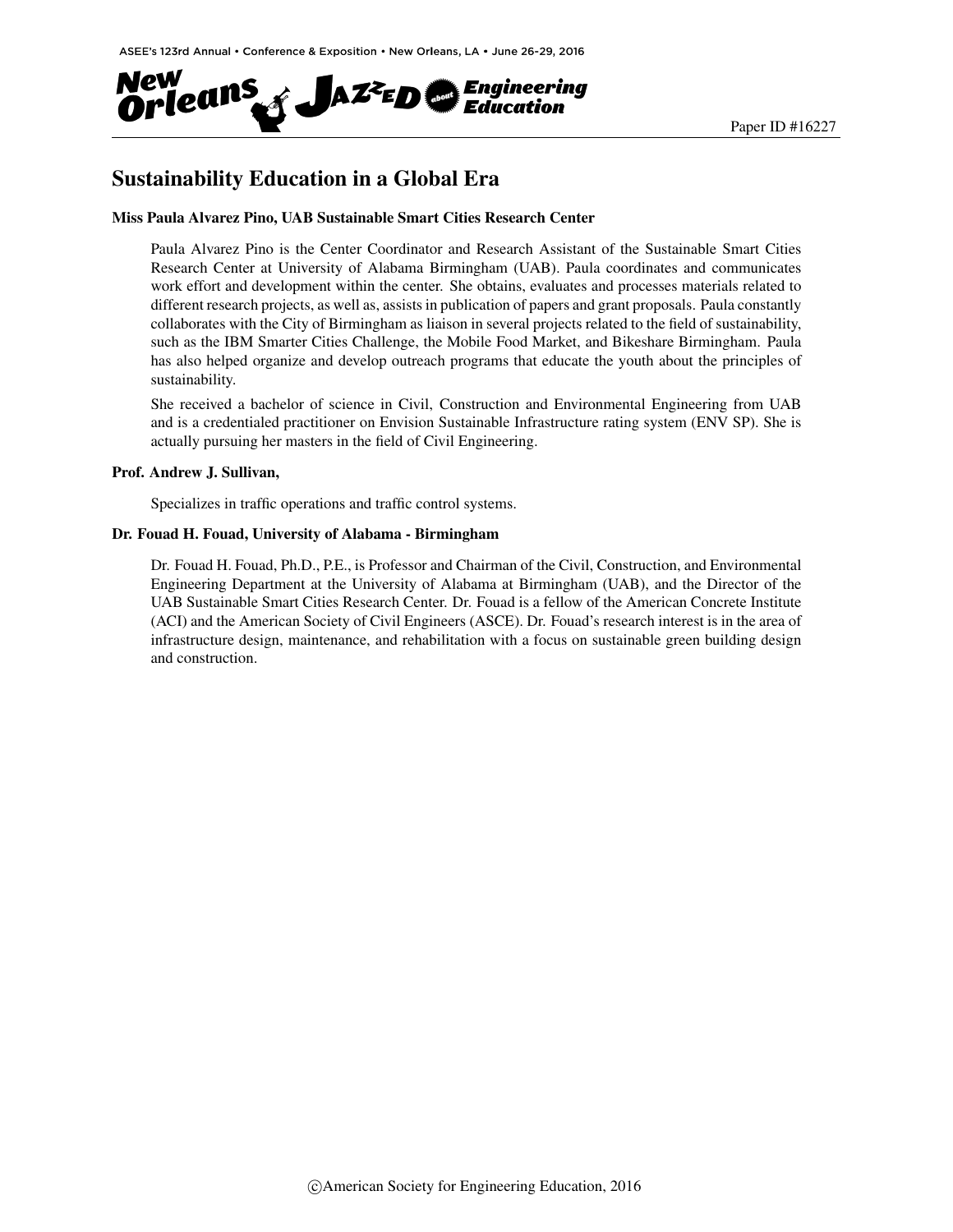

# Sustainability Education in a Global Era

#### Miss Paula Alvarez Pino, UAB Sustainable Smart Cities Research Center

Paula Alvarez Pino is the Center Coordinator and Research Assistant of the Sustainable Smart Cities Research Center at University of Alabama Birmingham (UAB). Paula coordinates and communicates work effort and development within the center. She obtains, evaluates and processes materials related to different research projects, as well as, assists in publication of papers and grant proposals. Paula constantly collaborates with the City of Birmingham as liaison in several projects related to the field of sustainability, such as the IBM Smarter Cities Challenge, the Mobile Food Market, and Bikeshare Birmingham. Paula has also helped organize and develop outreach programs that educate the youth about the principles of sustainability.

She received a bachelor of science in Civil, Construction and Environmental Engineering from UAB and is a credentialed practitioner on Envision Sustainable Infrastructure rating system (ENV SP). She is actually pursuing her masters in the field of Civil Engineering.

#### Prof. Andrew J. Sullivan,

Specializes in traffic operations and traffic control systems.

#### Dr. Fouad H. Fouad, University of Alabama - Birmingham

Dr. Fouad H. Fouad, Ph.D., P.E., is Professor and Chairman of the Civil, Construction, and Environmental Engineering Department at the University of Alabama at Birmingham (UAB), and the Director of the UAB Sustainable Smart Cities Research Center. Dr. Fouad is a fellow of the American Concrete Institute (ACI) and the American Society of Civil Engineers (ASCE). Dr. Fouad's research interest is in the area of infrastructure design, maintenance, and rehabilitation with a focus on sustainable green building design and construction.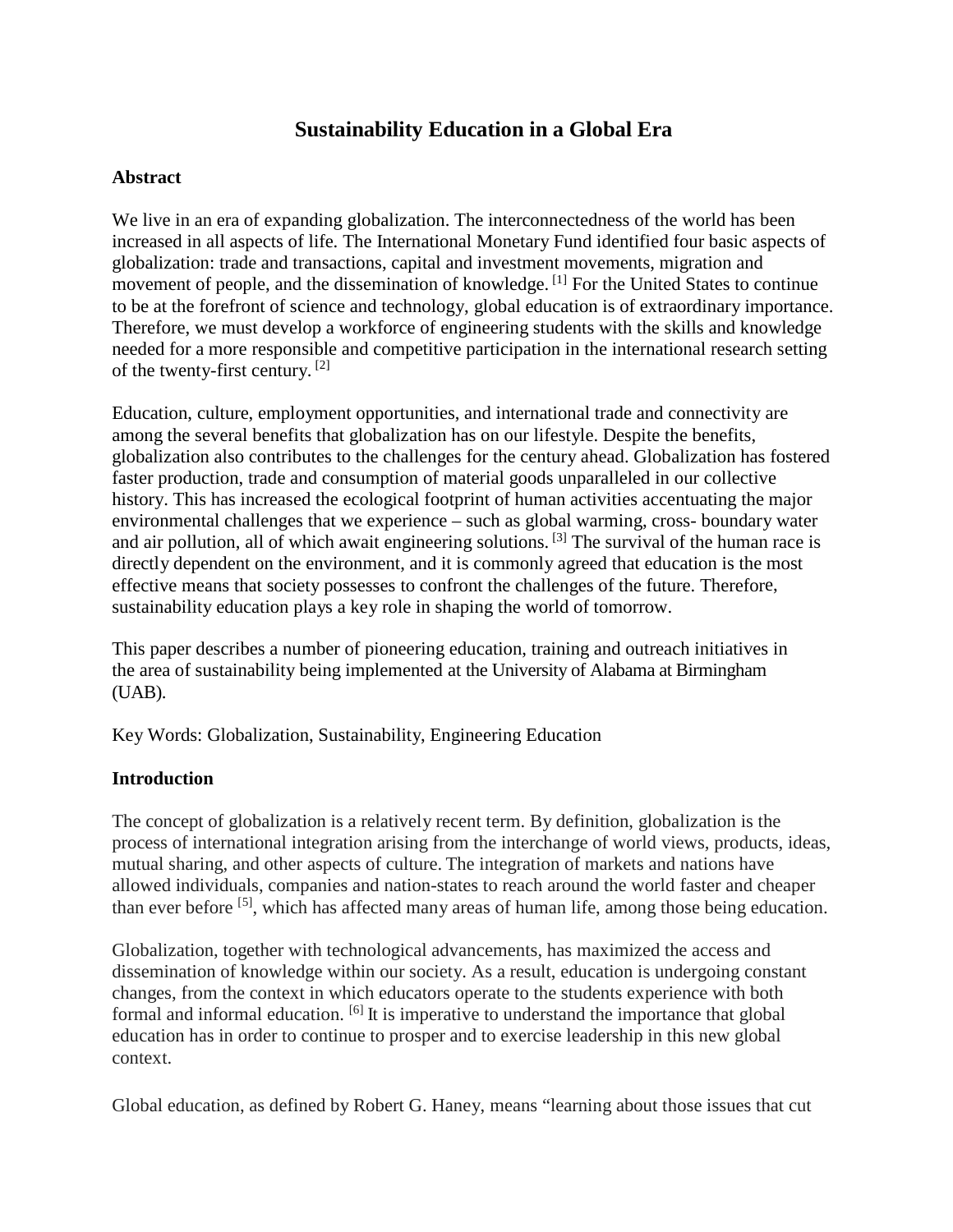## **Sustainability Education in a Global Era**

#### **Abstract**

We live in an era of expanding globalization. The interconnectedness of the world has been increased in all aspects of life. The International Monetary Fund identified four basic aspects of globalization: trade and transactions, capital and investment movements, migration and movement of people, and the dissemination of knowledge.<sup>[1]</sup> For the United States to continue to be at the forefront of science and technology, global education is of extraordinary importance. Therefore, we must develop a workforce of engineering students with the skills and knowledge needed for a more responsible and competitive participation in the international research setting of the twenty-first century. [2]

Education, culture, employment opportunities, and international trade and connectivity are among the several benefits that globalization has on our lifestyle. Despite the benefits, globalization also contributes to the challenges for the century ahead. Globalization has fostered faster production, trade and consumption of material goods unparalleled in our collective history. This has increased the ecological footprint of human activities accentuating the major environmental challenges that we experience – such as global warming, cross- boundary water and air pollution, all of which await engineering solutions. [3] The survival of the human race is directly dependent on the environment, and it is commonly agreed that education is the most effective means that society possesses to confront the challenges of the future. Therefore, sustainability education plays a key role in shaping the world of tomorrow.

This paper describes a number of pioneering education, training and outreach initiatives in the area of sustainability being implemented at the University of Alabama at Birmingham (UAB).

Key Words: Globalization, Sustainability, Engineering Education

### **Introduction**

The concept of globalization is a relatively recent term. By definition, globalization is the process of international integration arising from the interchange of world views, products, ideas, mutual sharing, and other aspects of culture. The integration of markets and nations have allowed individuals, companies and nation-states to reach around the world faster and cheaper than ever before <sup>[5]</sup>, which has affected many areas of human life, among those being education.

Globalization, together with technological advancements, has maximized the access and dissemination of knowledge within our society. As a result, education is undergoing constant changes, from the context in which educators operate to the students experience with both formal and informal education. <sup>[6]</sup> It is imperative to understand the importance that global education has in order to continue to prosper and to exercise leadership in this new global context.

Global education, as defined by Robert G. Haney, means "learning about those issues that cut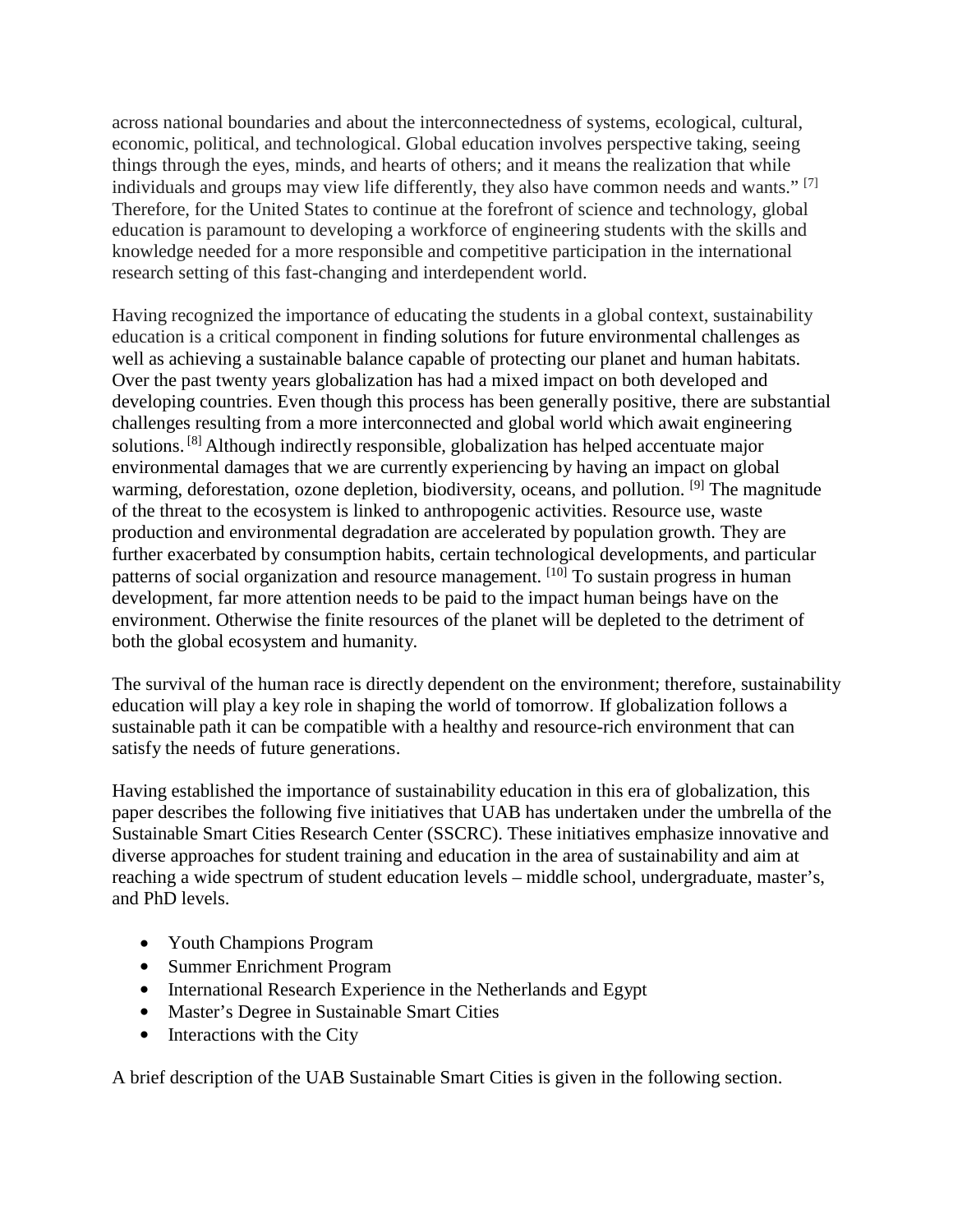across national boundaries and about the interconnectedness of systems, ecological, cultural, economic, political, and technological. Global education involves perspective taking, seeing things through the eyes, minds, and hearts of others; and it means the realization that while individuals and groups may view life differently, they also have common needs and wants."  $^{[7]}$ Therefore, for the United States to continue at the forefront of science and technology, global education is paramount to developing a workforce of engineering students with the skills and knowledge needed for a more responsible and competitive participation in the international research setting of this fast-changing and interdependent world.

Having recognized the importance of educating the students in a global context, sustainability education is a critical component in finding solutions for future environmental challenges as well as achieving a sustainable balance capable of protecting our planet and human habitats. Over the past twenty years globalization has had a mixed impact on both developed and developing countries. Even though this process has been generally positive, there are substantial challenges resulting from a more interconnected and global world which await engineering solutions. [8] Although indirectly responsible, globalization has helped accentuate major environmental damages that we are currently experiencing by having an impact on global warming, deforestation, ozone depletion, biodiversity, oceans, and pollution. <sup>[9]</sup> The magnitude of the threat to the ecosystem is linked to anthropogenic activities. Resource use, waste production and environmental degradation are accelerated by population growth. They are further exacerbated by consumption habits, certain technological developments, and particular patterns of social organization and resource management. <sup>[10]</sup> To sustain progress in human development, far more attention needs to be paid to the impact human beings have on the environment. Otherwise the finite resources of the planet will be depleted to the detriment of both the global ecosystem and humanity.

The survival of the human race is directly dependent on the environment; therefore, sustainability education will play a key role in shaping the world of tomorrow. If globalization follows a sustainable path it can be compatible with a healthy and resource-rich environment that can satisfy the needs of future generations.

Having established the importance of sustainability education in this era of globalization, this paper describes the following five initiatives that UAB has undertaken under the umbrella of the Sustainable Smart Cities Research Center (SSCRC). These initiatives emphasize innovative and diverse approaches for student training and education in the area of sustainability and aim at reaching a wide spectrum of student education levels – middle school, undergraduate, master's, and PhD levels.

- Youth Champions Program
- Summer Enrichment Program
- International Research Experience in the Netherlands and Egypt
- Master's Degree in Sustainable Smart Cities
- Interactions with the City

A brief description of the UAB Sustainable Smart Cities is given in the following section.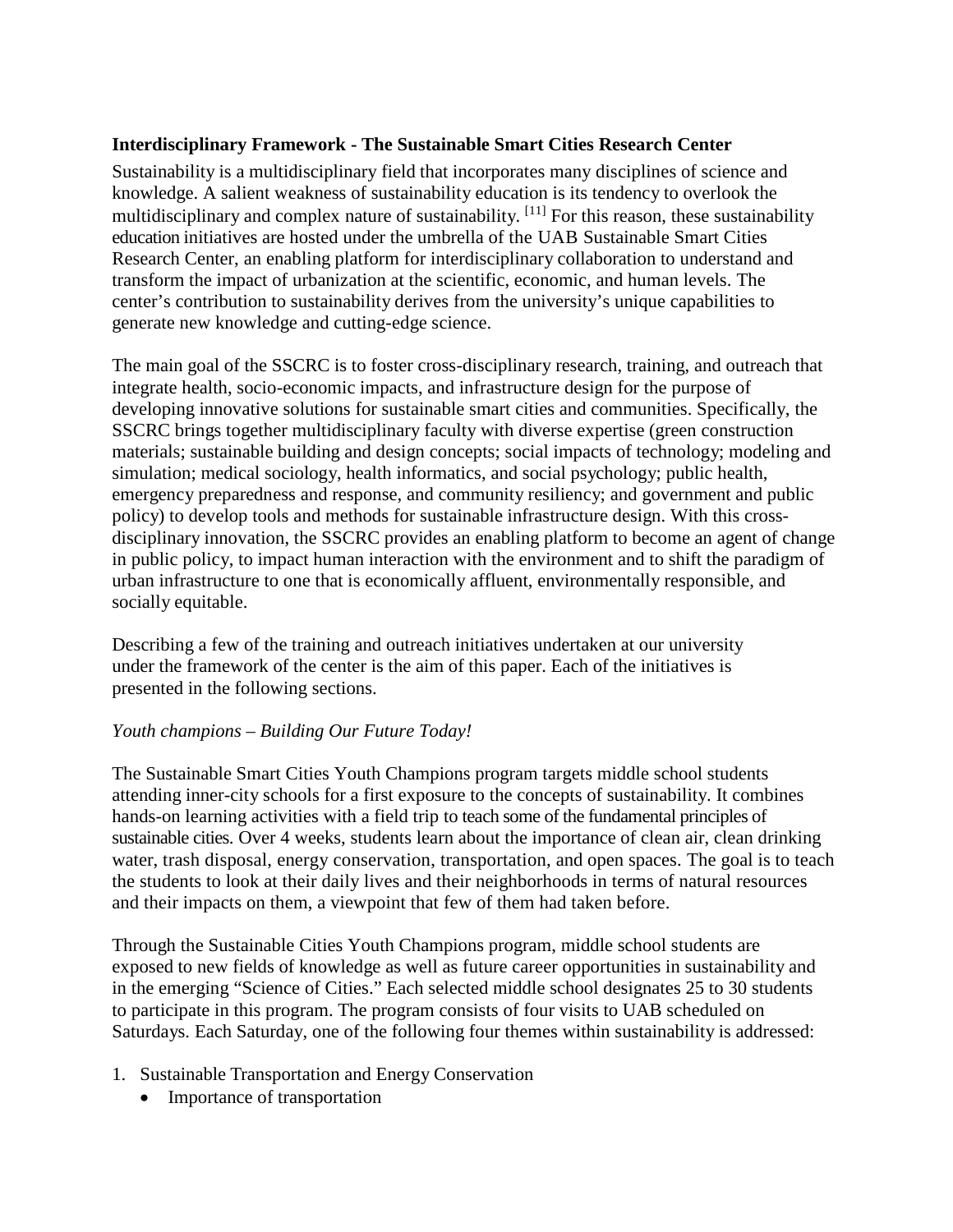### **Interdisciplinary Framework - The Sustainable Smart Cities Research Center**

Sustainability is a multidisciplinary field that incorporates many disciplines of science and knowledge. A salient weakness of sustainability education is its tendency to overlook the multidisciplinary and complex nature of sustainability. <sup>[11]</sup> For this reason, these sustainability education initiatives are hosted under the umbrella of the UAB Sustainable Smart Cities Research Center, an enabling platform for interdisciplinary collaboration to understand and transform the impact of urbanization at the scientific, economic, and human levels. The center's contribution to sustainability derives from the university's unique capabilities to generate new knowledge and cutting-edge science.

The main goal of the SSCRC is to foster cross-disciplinary research, training, and outreach that integrate health, socio-economic impacts, and infrastructure design for the purpose of developing innovative solutions for sustainable smart cities and communities. Specifically, the SSCRC brings together multidisciplinary faculty with diverse expertise (green construction materials; sustainable building and design concepts; social impacts of technology; modeling and simulation; medical sociology, health informatics, and social psychology; public health, emergency preparedness and response, and community resiliency; and government and public policy) to develop tools and methods for sustainable infrastructure design. With this crossdisciplinary innovation, the SSCRC provides an enabling platform to become an agent of change in public policy, to impact human interaction with the environment and to shift the paradigm of urban infrastructure to one that is economically affluent, environmentally responsible, and socially equitable.

Describing a few of the training and outreach initiatives undertaken at our university under the framework of the center is the aim of this paper. Each of the initiatives is presented in the following sections.

### *Youth champions – Building Our Future Today!*

The Sustainable Smart Cities Youth Champions program targets middle school students attending inner-city schools for a first exposure to the concepts of sustainability. It combines hands-on learning activities with a field trip to teach some of the fundamental principles of sustainable cities. Over 4 weeks, students learn about the importance of clean air, clean drinking water, trash disposal, energy conservation, transportation, and open spaces. The goal is to teach the students to look at their daily lives and their neighborhoods in terms of natural resources and their impacts on them, a viewpoint that few of them had taken before.

Through the Sustainable Cities Youth Champions program, middle school students are exposed to new fields of knowledge as well as future career opportunities in sustainability and in the emerging "Science of Cities." Each selected middle school designates 25 to 30 students to participate in this program. The program consists of four visits to UAB scheduled on Saturdays. Each Saturday, one of the following four themes within sustainability is addressed:

- 1. Sustainable Transportation and Energy Conservation
	- Importance of transportation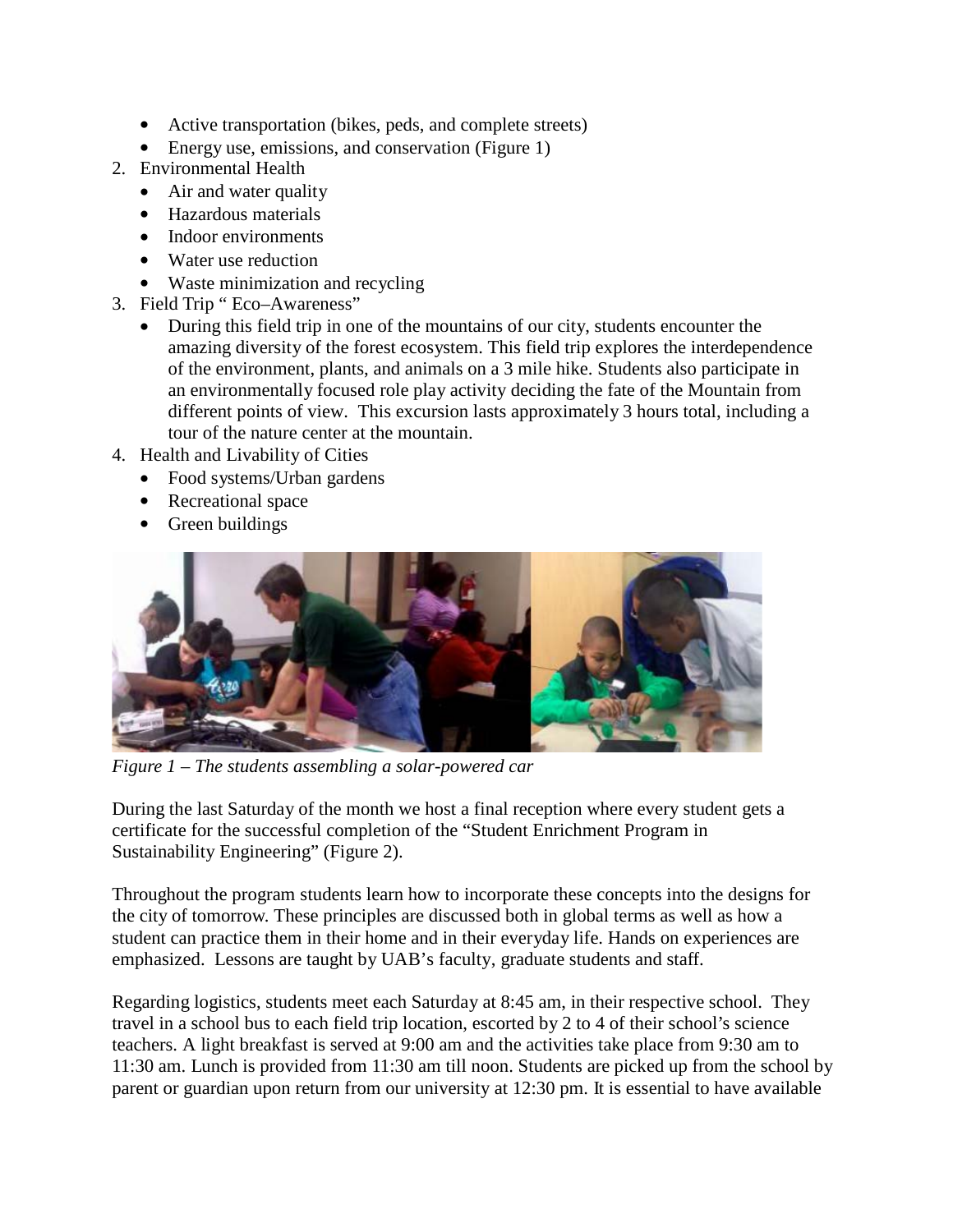- Active transportation (bikes, peds, and complete streets)
- Energy use, emissions, and conservation (Figure 1)
- 2. Environmental Health
	- Air and water quality
	- Hazardous materials
	- Indoor environments
	- Water use reduction
	- Waste minimization and recycling
- 3. Field Trip " Eco–Awareness"
	- During this field trip in one of the mountains of our city, students encounter the amazing diversity of the forest ecosystem. This field trip explores the interdependence of the environment, plants, and animals on a 3 mile hike. Students also participate in an environmentally focused role play activity deciding the fate of the Mountain from different points of view. This excursion lasts approximately 3 hours total, including a tour of the nature center at the mountain.
- 4. Health and Livability of Cities
	- Food systems/Urban gardens
	- Recreational space
	- Green buildings



*Figure 1* – *The students assembling a solar-powered car*

During the last Saturday of the month we host a final reception where every student gets a certificate for the successful completion of the "Student Enrichment Program in Sustainability Engineering" (Figure 2).

Throughout the program students learn how to incorporate these concepts into the designs for the city of tomorrow. These principles are discussed both in global terms as well as how a student can practice them in their home and in their everyday life. Hands on experiences are emphasized. Lessons are taught by UAB's faculty, graduate students and staff.

Regarding logistics, students meet each Saturday at 8:45 am, in their respective school. They travel in a school bus to each field trip location, escorted by 2 to 4 of their school's science teachers. A light breakfast is served at 9:00 am and the activities take place from 9:30 am to 11:30 am. Lunch is provided from 11:30 am till noon. Students are picked up from the school by parent or guardian upon return from our university at 12:30 pm. It is essential to have available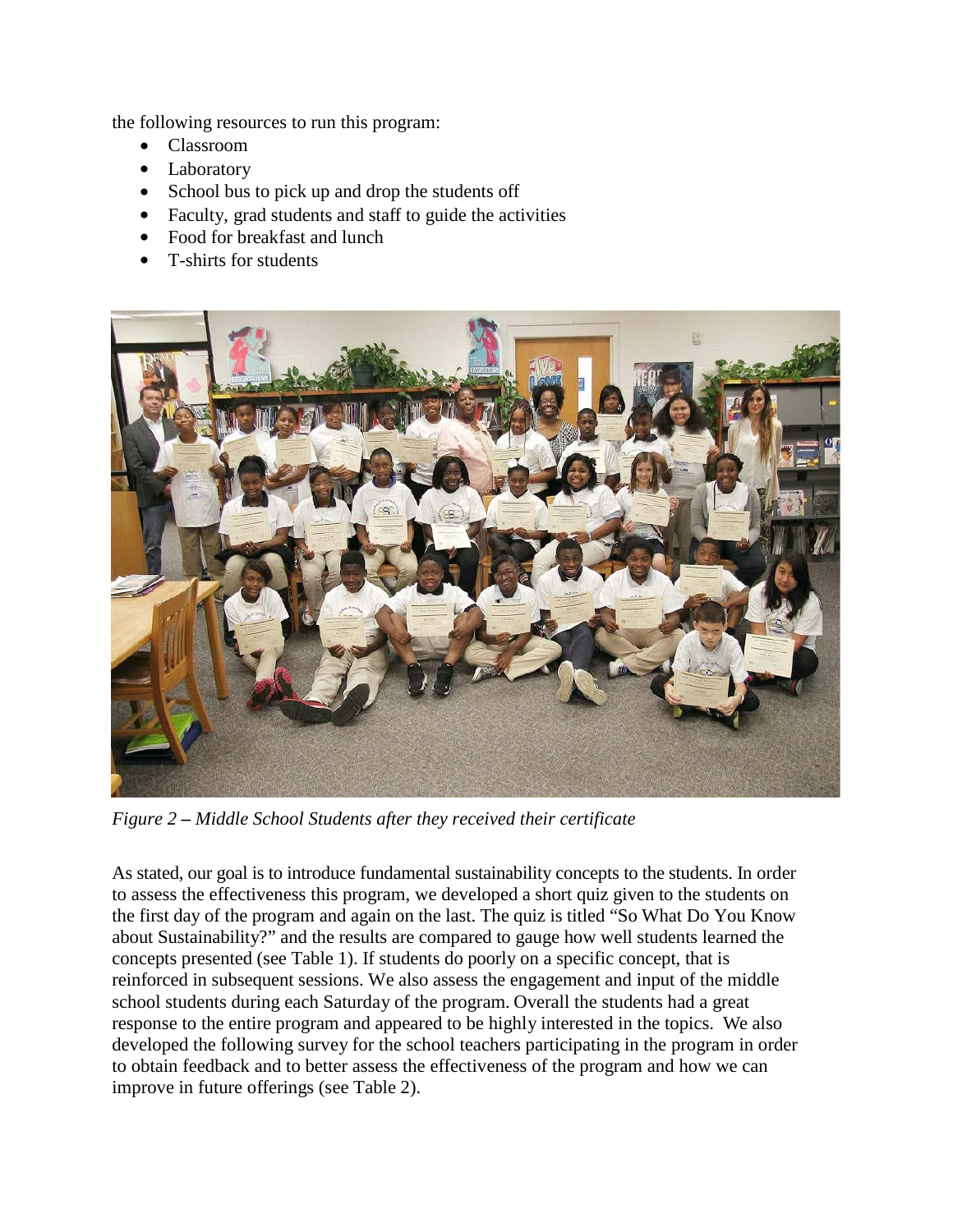the following resources to run this program:

- Classroom
- Laboratory
- School bus to pick up and drop the students off
- Faculty, grad students and staff to guide the activities
- Food for breakfast and lunch
- T-shirts for students



*Figure 2 – Middle School Students after they received their certificate*

As stated, our goal is to introduce fundamental sustainability concepts to the students. In order to assess the effectiveness this program, we developed a short quiz given to the students on the first day of the program and again on the last. The quiz is titled "So What Do You Know about Sustainability?" and the results are compared to gauge how well students learned the concepts presented (see Table 1). If students do poorly on a specific concept, that is reinforced in subsequent sessions. We also assess the engagement and input of the middle school students during each Saturday of the program. Overall the students had a great response to the entire program and appeared to be highly interested in the topics. We also developed the following survey for the school teachers participating in the program in order to obtain feedback and to better assess the effectiveness of the program and how we can improve in future offerings (see Table 2).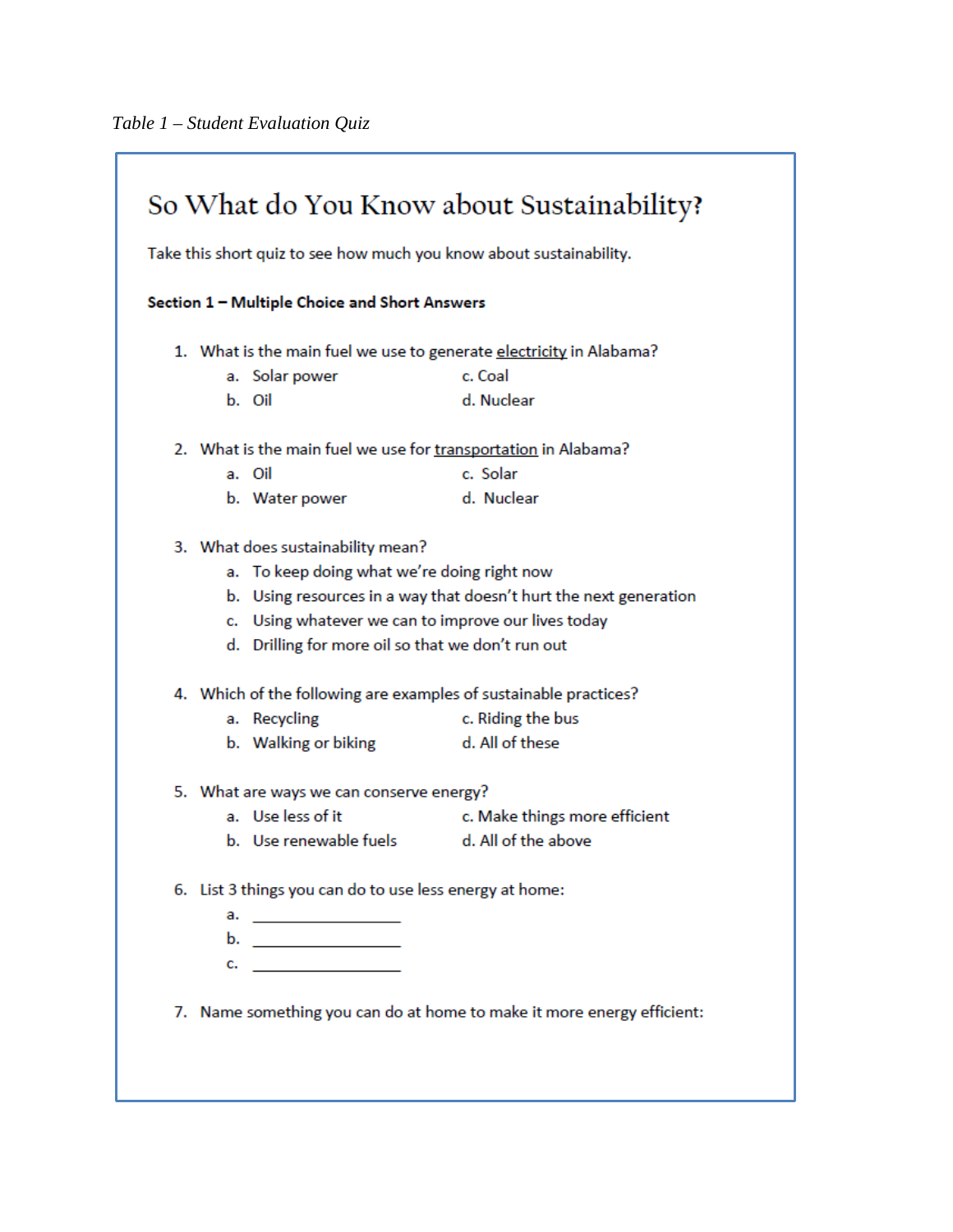| So What do You Know about Sustainability?<br>Take this short quiz to see how much you know about sustainability. |                                                                        |  |  |
|------------------------------------------------------------------------------------------------------------------|------------------------------------------------------------------------|--|--|
| Section 1 - Multiple Choice and Short Answers                                                                    |                                                                        |  |  |
| 1. What is the main fuel we use to generate electricity in Alabama?                                              |                                                                        |  |  |
| a. Solar power                                                                                                   | c. Coal                                                                |  |  |
| b. Oil                                                                                                           | d. Nuclear                                                             |  |  |
| 2. What is the main fuel we use for transportation in Alabama?                                                   |                                                                        |  |  |
| a. Oil                                                                                                           | c. Solar                                                               |  |  |
| b. Water power                                                                                                   | d. Nuclear                                                             |  |  |
| 3. What does sustainability mean?                                                                                |                                                                        |  |  |
| a. To keep doing what we're doing right now                                                                      |                                                                        |  |  |
|                                                                                                                  | b. Using resources in a way that doesn't hurt the next generation      |  |  |
|                                                                                                                  | c. Using whatever we can to improve our lives today                    |  |  |
|                                                                                                                  | d. Drilling for more oil so that we don't run out                      |  |  |
| 4. Which of the following are examples of sustainable practices?                                                 |                                                                        |  |  |
| a. Recycling                                                                                                     | c. Riding the bus                                                      |  |  |
| b. Walking or biking                                                                                             | d. All of these                                                        |  |  |
| 5. What are ways we can conserve energy?                                                                         |                                                                        |  |  |
| a. Use less of it                                                                                                | c. Make things more efficient                                          |  |  |
| b. Use renewable fuels                                                                                           | d. All of the above                                                    |  |  |
| 6. List 3 things you can do to use less energy at home:                                                          |                                                                        |  |  |
| a. <u>_____________</u>                                                                                          |                                                                        |  |  |
| b. ________________                                                                                              |                                                                        |  |  |
| c. <u>_______________</u> ____                                                                                   |                                                                        |  |  |
|                                                                                                                  |                                                                        |  |  |
|                                                                                                                  | 7. Name something you can do at home to make it more energy efficient: |  |  |
|                                                                                                                  |                                                                        |  |  |
|                                                                                                                  |                                                                        |  |  |
|                                                                                                                  |                                                                        |  |  |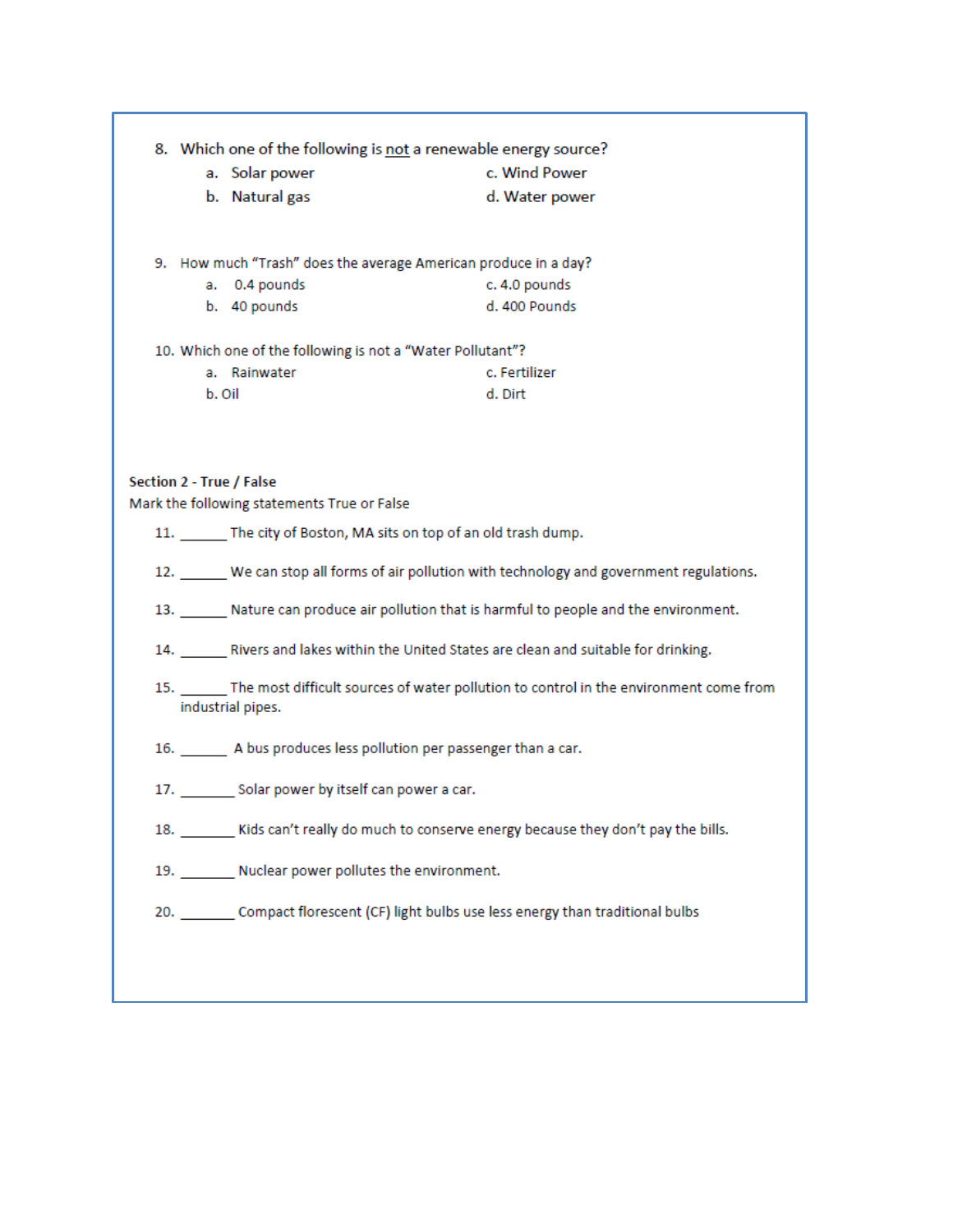| 8. Which one of the following is not a renewable energy source?<br>a. Solar power<br>b. Natural gas                                     | c. Wind Power<br>d. Water power                                                                                                                                           |
|-----------------------------------------------------------------------------------------------------------------------------------------|---------------------------------------------------------------------------------------------------------------------------------------------------------------------------|
| 9. How much "Trash" does the average American produce in a day?<br>a. 0.4 pounds<br>b. 40 pounds                                        | c. 4.0 pounds<br>d. 400 Pounds                                                                                                                                            |
| 10. Which one of the following is not a "Water Pollutant"?<br>a. Rainwater<br>b. Oil                                                    | c. Fertilizer<br>d. Dirt                                                                                                                                                  |
| Section 2 - True / False<br>Mark the following statements True or False<br>11. The city of Boston, MA sits on top of an old trash dump. |                                                                                                                                                                           |
|                                                                                                                                         | 12. We can stop all forms of air pollution with technology and government regulations.                                                                                    |
|                                                                                                                                         | 13. Nature can produce air pollution that is harmful to people and the environment.<br>14. Rivers and lakes within the United States are clean and suitable for drinking. |
| industrial pipes.                                                                                                                       | 15. The most difficult sources of water pollution to control in the environment come from                                                                                 |
| 16. A bus produces less pollution per passenger than a car.                                                                             |                                                                                                                                                                           |
| 17. Solar power by itself can power a car.                                                                                              |                                                                                                                                                                           |
|                                                                                                                                         | 18. _______ Kids can't really do much to conserve energy because they don't pay the bills.                                                                                |
| 19. Nuclear power pollutes the environment.                                                                                             |                                                                                                                                                                           |
|                                                                                                                                         | 20. Compact florescent (CF) light bulbs use less energy than traditional bulbs                                                                                            |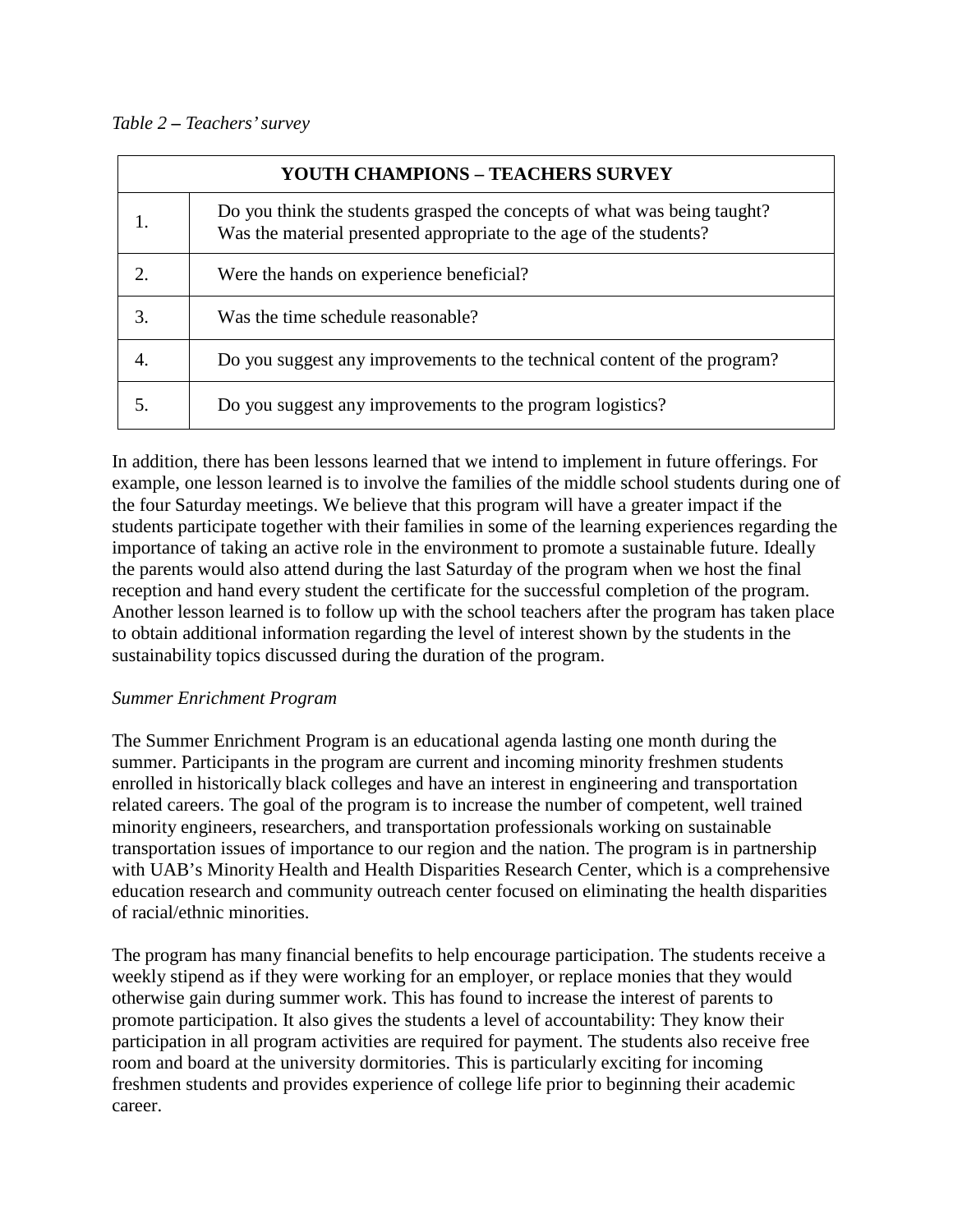### *Table 2 – Teachers'survey*

| <b>YOUTH CHAMPIONS - TEACHERS SURVEY</b> |                                                                                                                                                |  |
|------------------------------------------|------------------------------------------------------------------------------------------------------------------------------------------------|--|
|                                          | Do you think the students grasped the concepts of what was being taught?<br>Was the material presented appropriate to the age of the students? |  |
| 2.                                       | Were the hands on experience beneficial?                                                                                                       |  |
| 3.                                       | Was the time schedule reasonable?                                                                                                              |  |
| 4.                                       | Do you suggest any improvements to the technical content of the program?                                                                       |  |
| 5.                                       | Do you suggest any improvements to the program logistics?                                                                                      |  |

In addition, there has been lessons learned that we intend to implement in future offerings. For example, one lesson learned is to involve the families of the middle school students during one of the four Saturday meetings. We believe that this program will have a greater impact if the students participate together with their families in some of the learning experiences regarding the importance of taking an active role in the environment to promote a sustainable future. Ideally the parents would also attend during the last Saturday of the program when we host the final reception and hand every student the certificate for the successful completion of the program. Another lesson learned is to follow up with the school teachers after the program has taken place to obtain additional information regarding the level of interest shown by the students in the sustainability topics discussed during the duration of the program.

#### *Summer Enrichment Program*

The Summer Enrichment Program is an educational agenda lasting one month during the summer. Participants in the program are current and incoming minority freshmen students enrolled in historically black colleges and have an interest in engineering and transportation related careers. The goal of the program is to increase the number of competent, well trained minority engineers, researchers, and transportation professionals working on sustainable transportation issues of importance to our region and the nation. The program is in partnership with UAB's Minority Health and Health Disparities Research Center, which is a comprehensive education research and community outreach center focused on eliminating the health disparities of racial/ethnic minorities.

The program has many financial benefits to help encourage participation. The students receive a weekly stipend as if they were working for an employer, or replace monies that they would otherwise gain during summer work. This has found to increase the interest of parents to promote participation. It also gives the students a level of accountability: They know their participation in all program activities are required for payment. The students also receive free room and board at the university dormitories. This is particularly exciting for incoming freshmen students and provides experience of college life prior to beginning their academic career.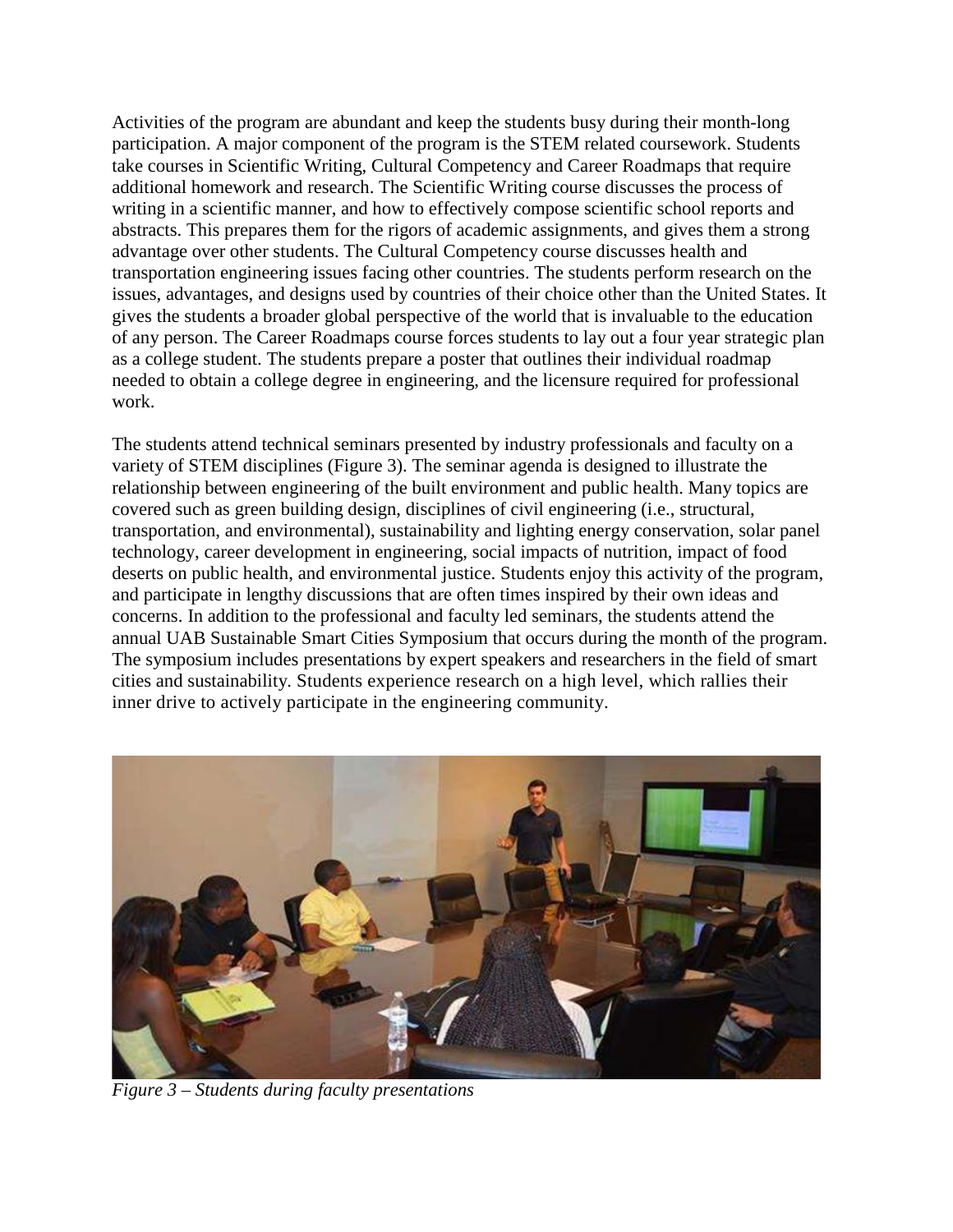Activities of the program are abundant and keep the students busy during their month-long participation. A major component of the program is the STEM related coursework. Students take courses in Scientific Writing, Cultural Competency and Career Roadmaps that require additional homework and research. The Scientific Writing course discusses the process of writing in a scientific manner, and how to effectively compose scientific school reports and abstracts. This prepares them for the rigors of academic assignments, and gives them a strong advantage over other students. The Cultural Competency course discusses health and transportation engineering issues facing other countries. The students perform research on the issues, advantages, and designs used by countries of their choice other than the United States. It gives the students a broader global perspective of the world that is invaluable to the education of any person. The Career Roadmaps course forces students to lay out a four year strategic plan as a college student. The students prepare a poster that outlines their individual roadmap needed to obtain a college degree in engineering, and the licensure required for professional work.

The students attend technical seminars presented by industry professionals and faculty on a variety of STEM disciplines (Figure 3). The seminar agenda is designed to illustrate the relationship between engineering of the built environment and public health. Many topics are covered such as green building design, disciplines of civil engineering (i.e., structural, transportation, and environmental), sustainability and lighting energy conservation, solar panel technology, career development in engineering, social impacts of nutrition, impact of food deserts on public health, and environmental justice. Students enjoy this activity of the program, and participate in lengthy discussions that are often times inspired by their own ideas and concerns. In addition to the professional and faculty led seminars, the students attend the annual UAB Sustainable Smart Cities Symposium that occurs during the month of the program. The symposium includes presentations by expert speakers and researchers in the field of smart cities and sustainability. Students experience research on a high level, which rallies their inner drive to actively participate in the engineering community.



*Figure 3 – Students during faculty presentations*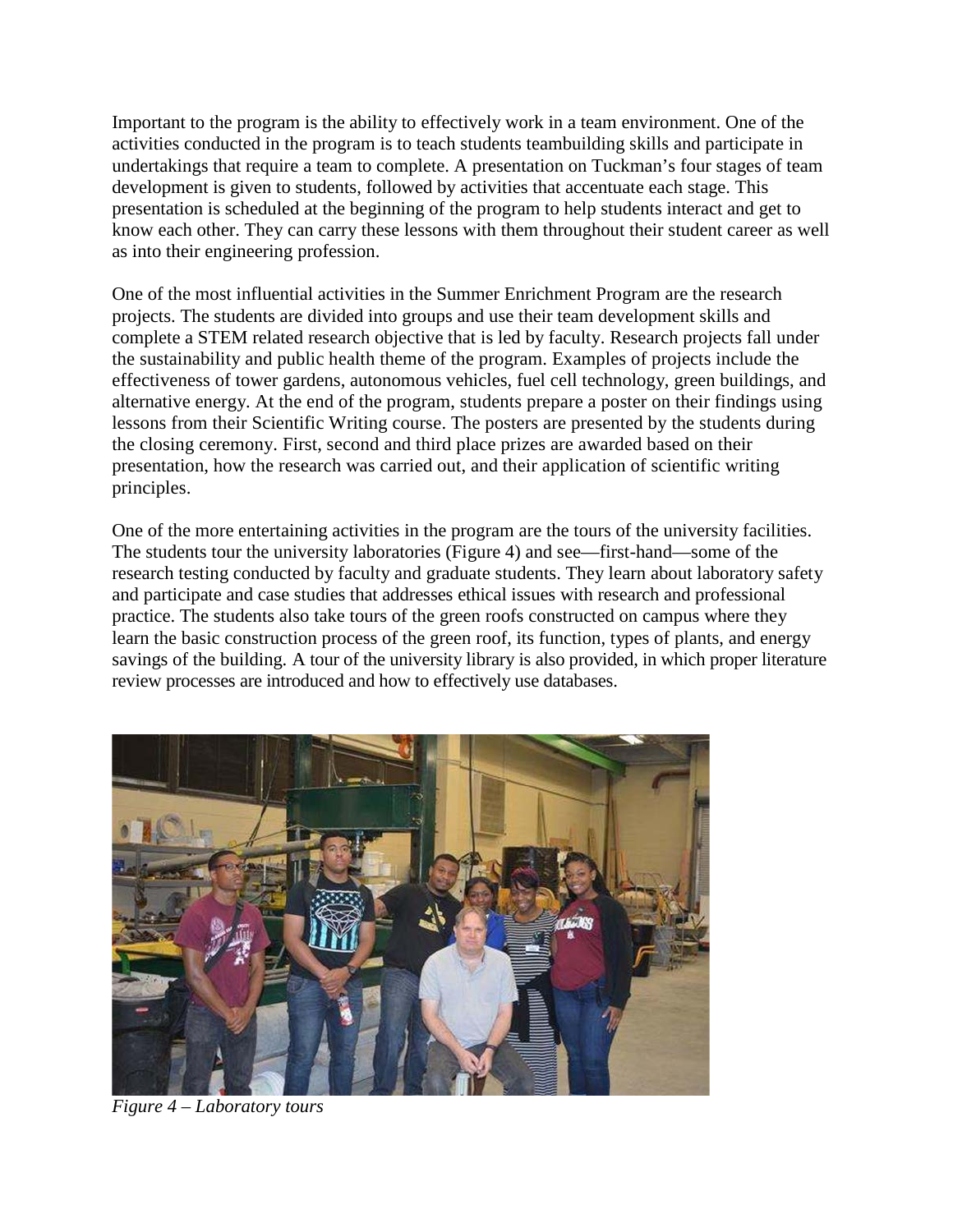Important to the program is the ability to effectively work in a team environment. One of the activities conducted in the program is to teach students teambuilding skills and participate in undertakings that require a team to complete. A presentation on Tuckman's four stages of team development is given to students, followed by activities that accentuate each stage. This presentation is scheduled at the beginning of the program to help students interact and get to know each other. They can carry these lessons with them throughout their student career as well as into their engineering profession.

One of the most influential activities in the Summer Enrichment Program are the research projects. The students are divided into groups and use their team development skills and complete a STEM related research objective that is led by faculty. Research projects fall under the sustainability and public health theme of the program. Examples of projects include the effectiveness of tower gardens, autonomous vehicles, fuel cell technology, green buildings, and alternative energy. At the end of the program, students prepare a poster on their findings using lessons from their Scientific Writing course. The posters are presented by the students during the closing ceremony. First, second and third place prizes are awarded based on their presentation, how the research was carried out, and their application of scientific writing principles.

One of the more entertaining activities in the program are the tours of the university facilities. The students tour the university laboratories (Figure 4) and see—first-hand—some of the research testing conducted by faculty and graduate students. They learn about laboratory safety and participate and case studies that addresses ethical issues with research and professional practice. The students also take tours of the green roofs constructed on campus where they learn the basic construction process of the green roof, its function, types of plants, and energy savings of the building. A tour of the university library is also provided, in which proper literature review processes are introduced and how to effectively use databases.



*Figure 4 – Laboratory tours*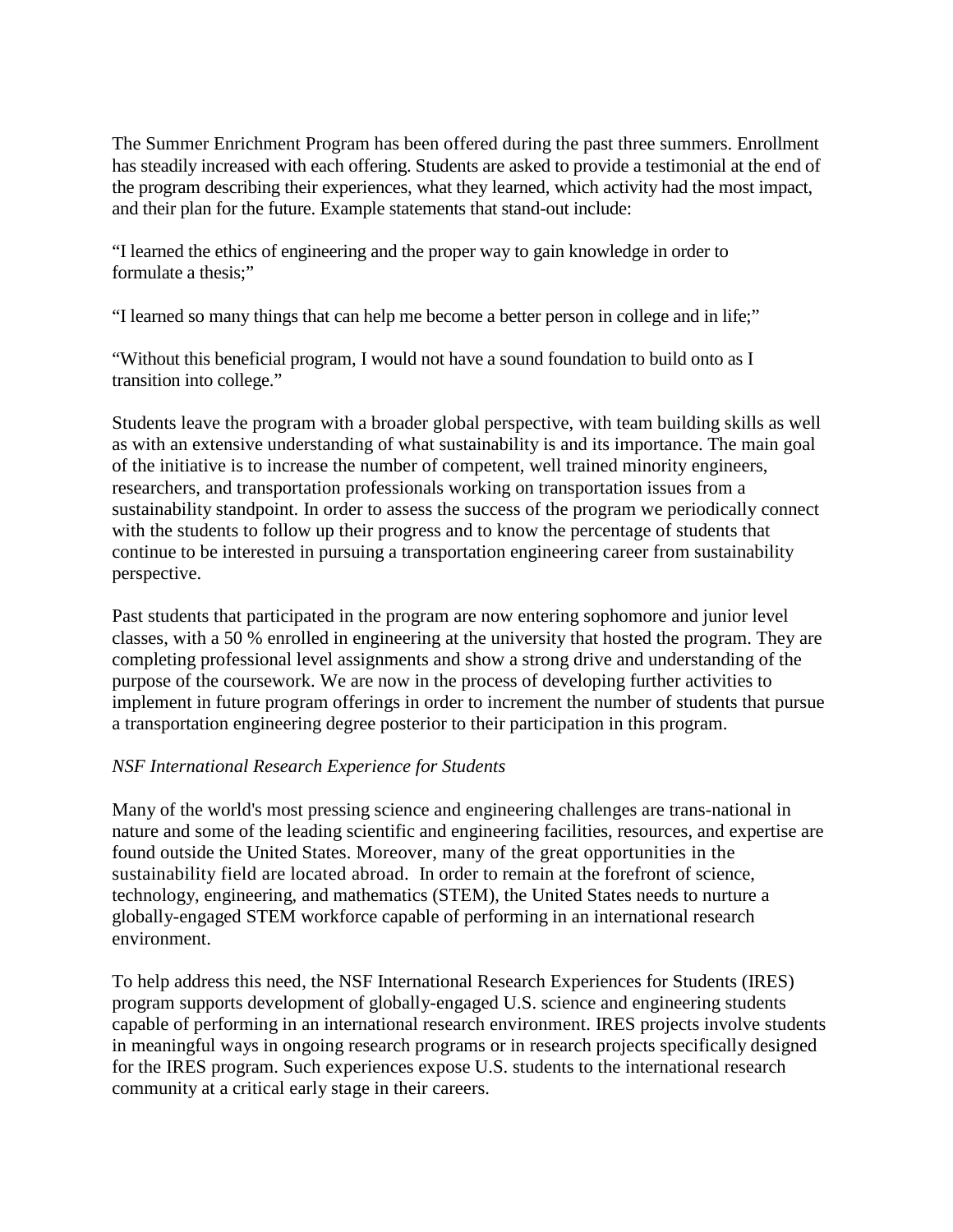The Summer Enrichment Program has been offered during the past three summers. Enrollment has steadily increased with each offering. Students are asked to provide a testimonial at the end of the program describing their experiences, what they learned, which activity had the most impact, and their plan for the future. Example statements that stand-out include:

"I learned the ethics of engineering and the proper way to gain knowledge in order to formulate a thesis;"

"I learned so many things that can help me become a better person in college and in life;"

"Without this beneficial program, I would not have a sound foundation to build onto as I transition into college."

Students leave the program with a broader global perspective, with team building skills as well as with an extensive understanding of what sustainability is and its importance. The main goal of the initiative is to increase the number of competent, well trained minority engineers, researchers, and transportation professionals working on transportation issues from a sustainability standpoint. In order to assess the success of the program we periodically connect with the students to follow up their progress and to know the percentage of students that continue to be interested in pursuing a transportation engineering career from sustainability perspective.

Past students that participated in the program are now entering sophomore and junior level classes, with a 50 % enrolled in engineering at the university that hosted the program. They are completing professional level assignments and show a strong drive and understanding of the purpose of the coursework. We are now in the process of developing further activities to implement in future program offerings in order to increment the number of students that pursue a transportation engineering degree posterior to their participation in this program.

## *NSF International Research Experience for Students*

Many of the world's most pressing science and engineering challenges are trans-national in nature and some of the leading scientific and engineering facilities, resources, and expertise are found outside the United States. Moreover, many of the great opportunities in the sustainability field are located abroad. In order to remain at the forefront of science, technology, engineering, and mathematics (STEM), the United States needs to nurture a globally-engaged STEM workforce capable of performing in an international research environment.

To help address this need, the NSF International Research Experiences for Students (IRES) program supports development of globally-engaged U.S. science and engineering students capable of performing in an international research environment. IRES projects involve students in meaningful ways in ongoing research programs or in research projects specifically designed for the IRES program. Such experiences expose U.S. students to the international research community at a critical early stage in their careers.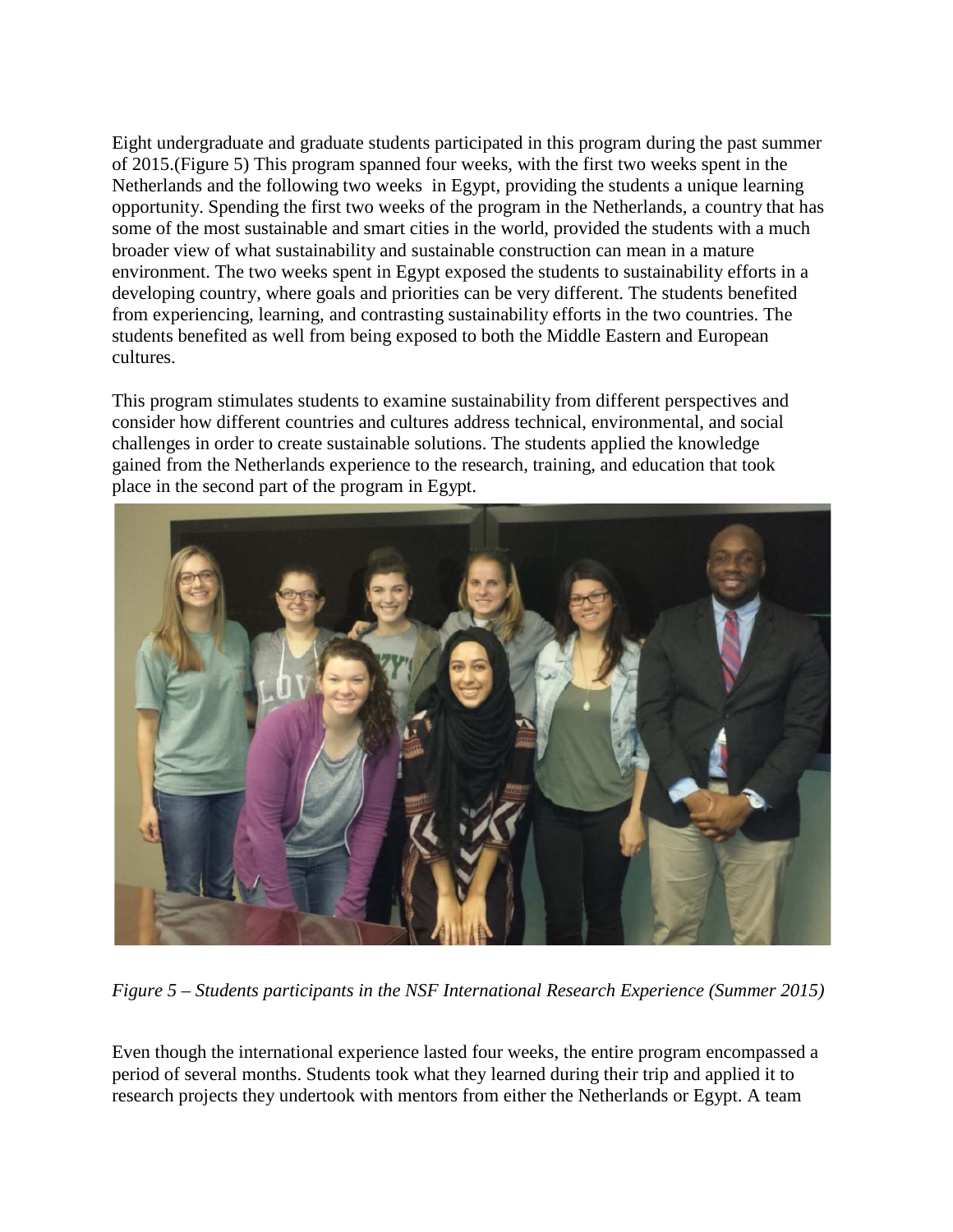Eight undergraduate and graduate students participated in this program during the past summer of 2015.(Figure 5) This program spanned four weeks, with the first two weeks spent in the Netherlands and the following two weeks in Egypt, providing the students a unique learning opportunity. Spending the first two weeks of the program in the Netherlands, a country that has some of the most sustainable and smart cities in the world, provided the students with a much broader view of what sustainability and sustainable construction can mean in a mature environment. The two weeks spent in Egypt exposed the students to sustainability efforts in a developing country, where goals and priorities can be very different. The students benefited from experiencing, learning, and contrasting sustainability efforts in the two countries. The students benefited as well from being exposed to both the Middle Eastern and European cultures.

This program stimulates students to examine sustainability from different perspectives and consider how different countries and cultures address technical, environmental, and social challenges in order to create sustainable solutions. The students applied the knowledge gained from the Netherlands experience to the research, training, and education that took place in the second part of the program in Egypt.



*Figure 5 – Students participants in the NSF International Research Experience (Summer 2015)*

Even though the international experience lasted four weeks, the entire program encompassed a period of several months. Students took what they learned during their trip and applied it to research projects they undertook with mentors from either the Netherlands or Egypt. A team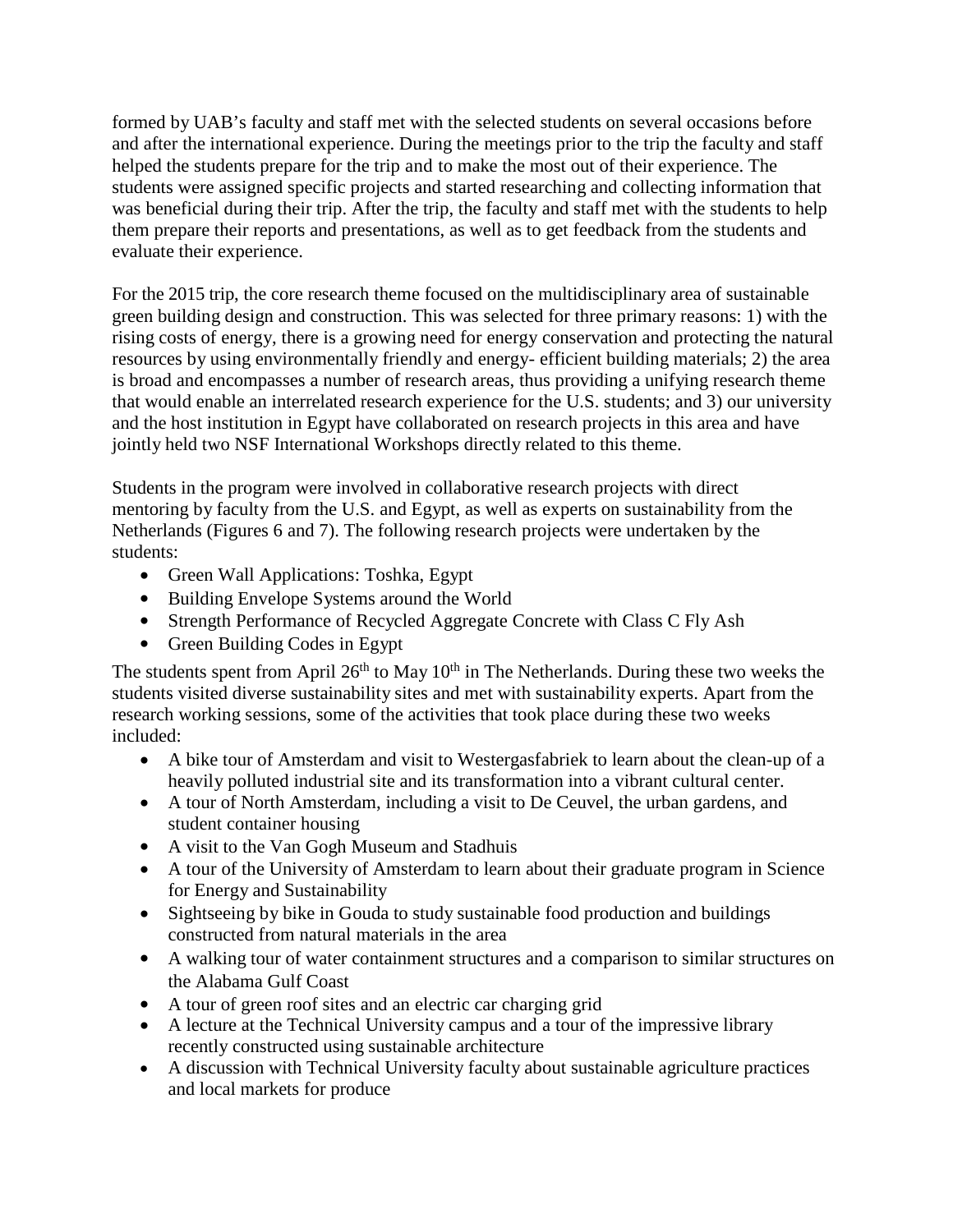formed by UAB's faculty and staff met with the selected students on several occasions before and after the international experience. During the meetings prior to the trip the faculty and staff helped the students prepare for the trip and to make the most out of their experience. The students were assigned specific projects and started researching and collecting information that was beneficial during their trip. After the trip, the faculty and staff met with the students to help them prepare their reports and presentations, as well as to get feedback from the students and evaluate their experience.

For the 2015 trip, the core research theme focused on the multidisciplinary area of sustainable green building design and construction. This was selected for three primary reasons: 1) with the rising costs of energy, there is a growing need for energy conservation and protecting the natural resources by using environmentally friendly and energy- efficient building materials; 2) the area is broad and encompasses a number of research areas, thus providing a unifying research theme that would enable an interrelated research experience for the U.S. students; and 3) our university and the host institution in Egypt have collaborated on research projects in this area and have jointly held two NSF International Workshops directly related to this theme.

Students in the program were involved in collaborative research projects with direct mentoring by faculty from the U.S. and Egypt, as well as experts on sustainability from the Netherlands (Figures 6 and 7). The following research projects were undertaken by the students:

- Green Wall Applications: Toshka, Egypt
- Building Envelope Systems around the World
- Strength Performance of Recycled Aggregate Concrete with Class C Fly Ash
- Green Building Codes in Egypt

The students spent from April  $26<sup>th</sup>$  to May  $10<sup>th</sup>$  in The Netherlands. During these two weeks the students visited diverse sustainability sites and met with sustainability experts. Apart from the research working sessions, some of the activities that took place during these two weeks included:

- A bike tour of Amsterdam and visit to Westergasfabriek to learn about the clean-up of a heavily polluted industrial site and its transformation into a vibrant cultural center.
- A tour of North Amsterdam, including a visit to De Ceuvel, the urban gardens, and student container housing
- A visit to the Van Gogh Museum and Stadhuis
- A tour of the University of Amsterdam to learn about their graduate program in Science for Energy and Sustainability
- Sightseeing by bike in Gouda to study sustainable food production and buildings constructed from natural materials in the area
- A walking tour of water containment structures and a comparison to similar structures on the Alabama Gulf Coast
- A tour of green roof sites and an electric car charging grid
- A lecture at the Technical University campus and a tour of the impressive library recently constructed using sustainable architecture
- A discussion with Technical University faculty about sustainable agriculture practices and local markets for produce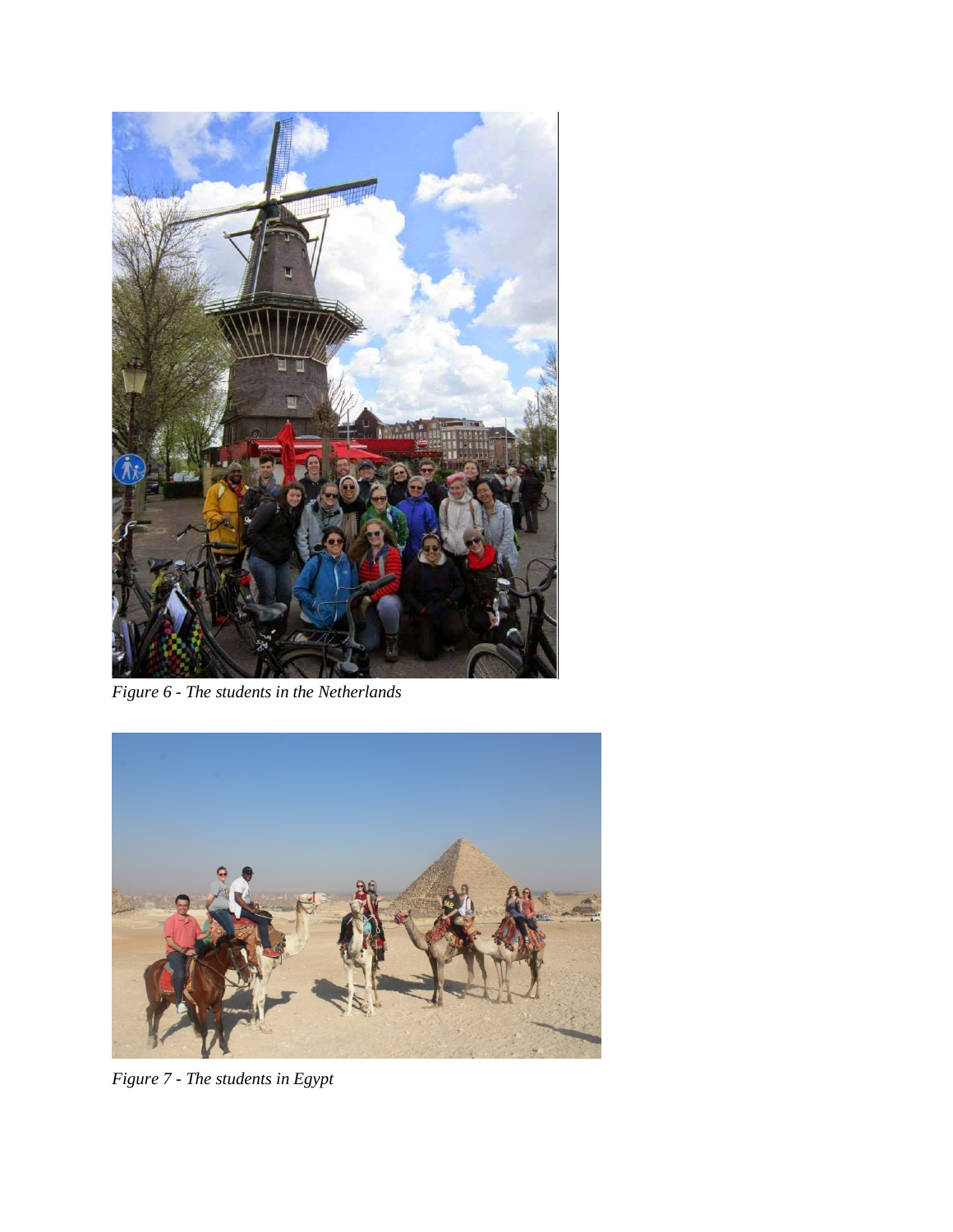

*Figure 6 - The students in the Netherlands*



*Figure 7 - The students in Egypt*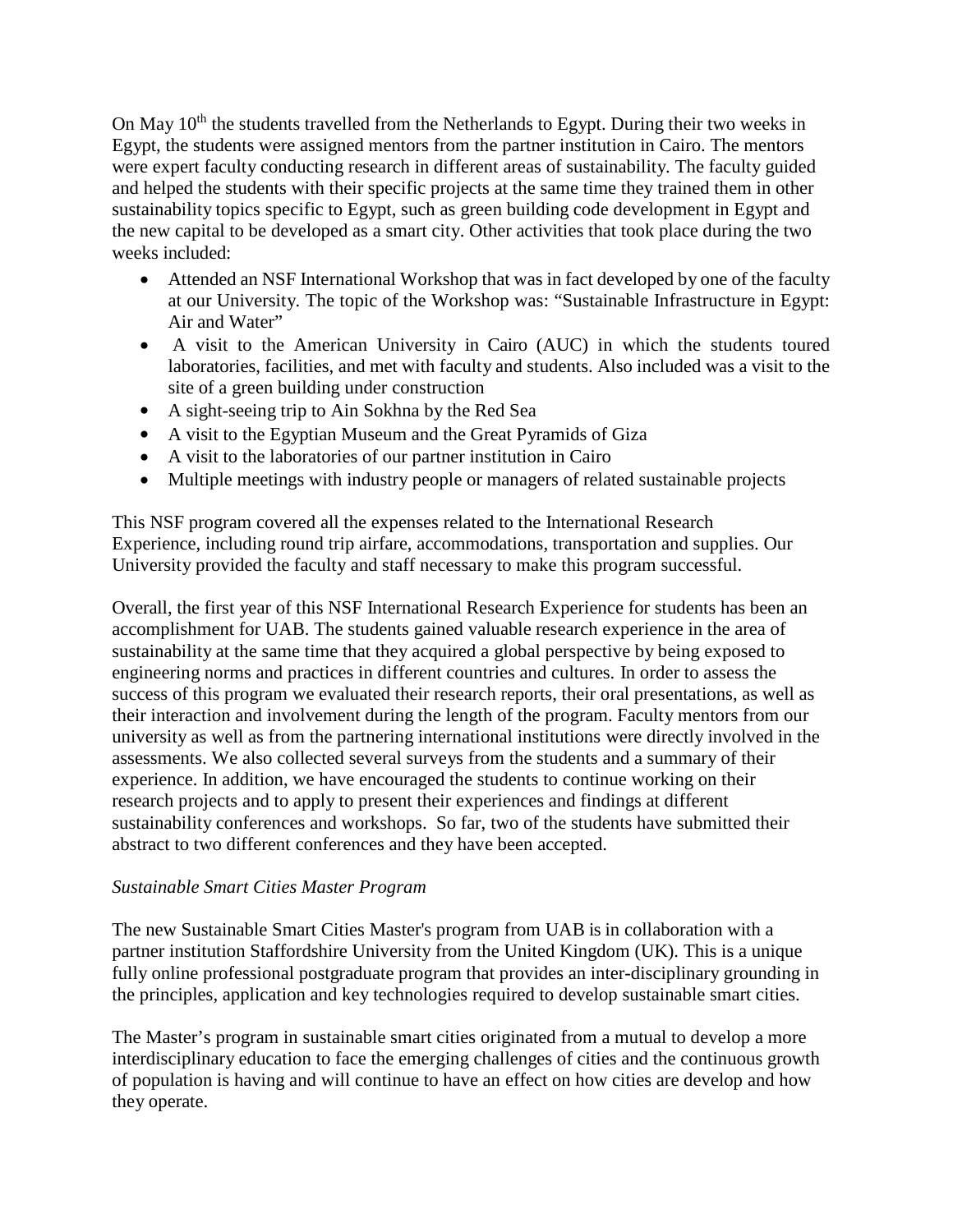On May 10<sup>th</sup> the students travelled from the Netherlands to Egypt. During their two weeks in Egypt, the students were assigned mentors from the partner institution in Cairo. The mentors were expert faculty conducting research in different areas of sustainability. The faculty guided and helped the students with their specific projects at the same time they trained them in other sustainability topics specific to Egypt, such as green building code development in Egypt and the new capital to be developed as a smart city. Other activities that took place during the two weeks included:

- Attended an NSF International Workshop that was in fact developed by one of the faculty at our University. The topic of the Workshop was: "Sustainable Infrastructure in Egypt: Air and Water"
- A visit to the American University in Cairo (AUC) in which the students toured laboratories, facilities, and met with faculty and students. Also included was a visit to the site of a green building under construction
- A sight-seeing trip to Ain Sokhna by the Red Sea
- A visit to the Egyptian Museum and the Great Pyramids of Giza
- A visit to the laboratories of our partner institution in Cairo
- Multiple meetings with industry people or managers of related sustainable projects

This NSF program covered all the expenses related to the International Research Experience, including round trip airfare, accommodations, transportation and supplies. Our University provided the faculty and staff necessary to make this program successful.

Overall, the first year of this NSF International Research Experience for students has been an accomplishment for UAB. The students gained valuable research experience in the area of sustainability at the same time that they acquired a global perspective by being exposed to engineering norms and practices in different countries and cultures. In order to assess the success of this program we evaluated their research reports, their oral presentations, as well as their interaction and involvement during the length of the program. Faculty mentors from our university as well as from the partnering international institutions were directly involved in the assessments. We also collected several surveys from the students and a summary of their experience. In addition, we have encouraged the students to continue working on their research projects and to apply to present their experiences and findings at different sustainability conferences and workshops. So far, two of the students have submitted their abstract to two different conferences and they have been accepted.

#### *Sustainable Smart Cities Master Program*

The new Sustainable Smart Cities Master's program from UAB is in collaboration with a partner institution Staffordshire University from the United Kingdom (UK). This is a unique fully online professional postgraduate program that provides an inter-disciplinary grounding in the principles, application and key technologies required to develop sustainable smart cities.

The Master's program in sustainable smart cities originated from a mutual to develop a more interdisciplinary education to face the emerging challenges of cities and the continuous growth of population is having and will continue to have an effect on how cities are develop and how they operate.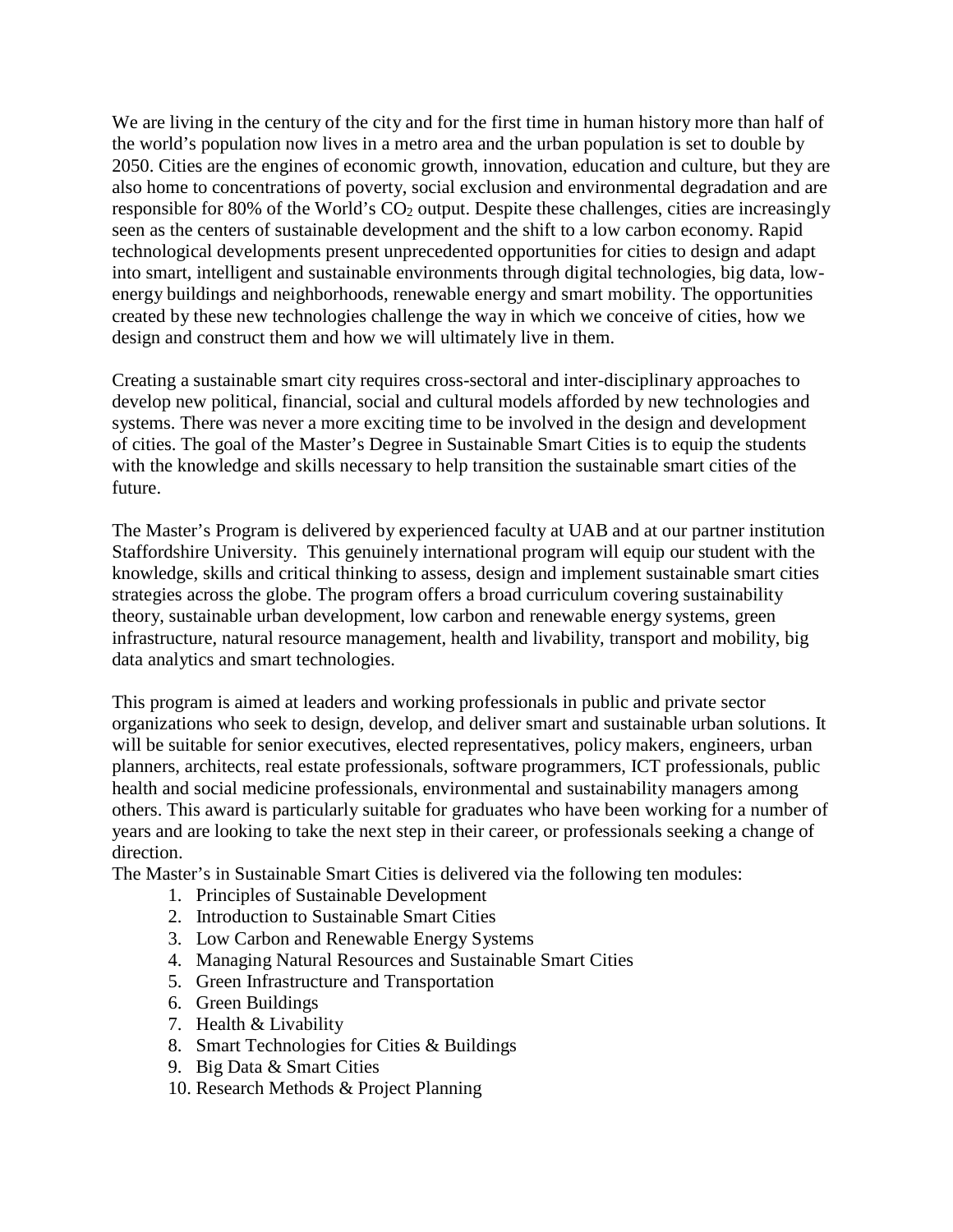We are living in the century of the city and for the first time in human history more than half of the world's population now lives in a metro area and the urban population is set to double by 2050. Cities are the engines of economic growth, innovation, education and culture, but they are also home to concentrations of poverty, social exclusion and environmental degradation and are responsible for 80% of the World's  $CO<sub>2</sub>$  output. Despite these challenges, cities are increasingly seen as the centers of sustainable development and the shift to a low carbon economy. Rapid technological developments present unprecedented opportunities for cities to design and adapt into smart, intelligent and sustainable environments through digital technologies, big data, lowenergy buildings and neighborhoods, renewable energy and smart mobility. The opportunities created by these new technologies challenge the way in which we conceive of cities, how we design and construct them and how we will ultimately live in them.

Creating a sustainable smart city requires cross-sectoral and inter-disciplinary approaches to develop new political, financial, social and cultural models afforded by new technologies and systems. There was never a more exciting time to be involved in the design and development of cities. The goal of the Master's Degree in Sustainable Smart Cities is to equip the students with the knowledge and skills necessary to help transition the sustainable smart cities of the future.

The Master's Program is delivered by experienced faculty at UAB and at our partner institution Staffordshire University. This genuinely international program will equip our student with the knowledge, skills and critical thinking to assess, design and implement sustainable smart cities strategies across the globe. The program offers a broad curriculum covering sustainability theory, sustainable urban development, low carbon and renewable energy systems, green infrastructure, natural resource management, health and livability, transport and mobility, big data analytics and smart technologies.

This program is aimed at leaders and working professionals in public and private sector organizations who seek to design, develop, and deliver smart and sustainable urban solutions. It will be suitable for senior executives, elected representatives, policy makers, engineers, urban planners, architects, real estate professionals, software programmers, ICT professionals, public health and social medicine professionals, environmental and sustainability managers among others. This award is particularly suitable for graduates who have been working for a number of years and are looking to take the next step in their career, or professionals seeking a change of direction.

The Master's in Sustainable Smart Cities is delivered via the following ten modules:

- 1. Principles of Sustainable Development
- 2. Introduction to Sustainable Smart Cities
- 3. Low Carbon and Renewable Energy Systems
- 4. Managing Natural Resources and Sustainable Smart Cities
- 5. Green Infrastructure and Transportation
- 6. Green Buildings
- 7. Health & Livability
- 8. Smart Technologies for Cities & Buildings
- 9. Big Data & Smart Cities
- 10. Research Methods & Project Planning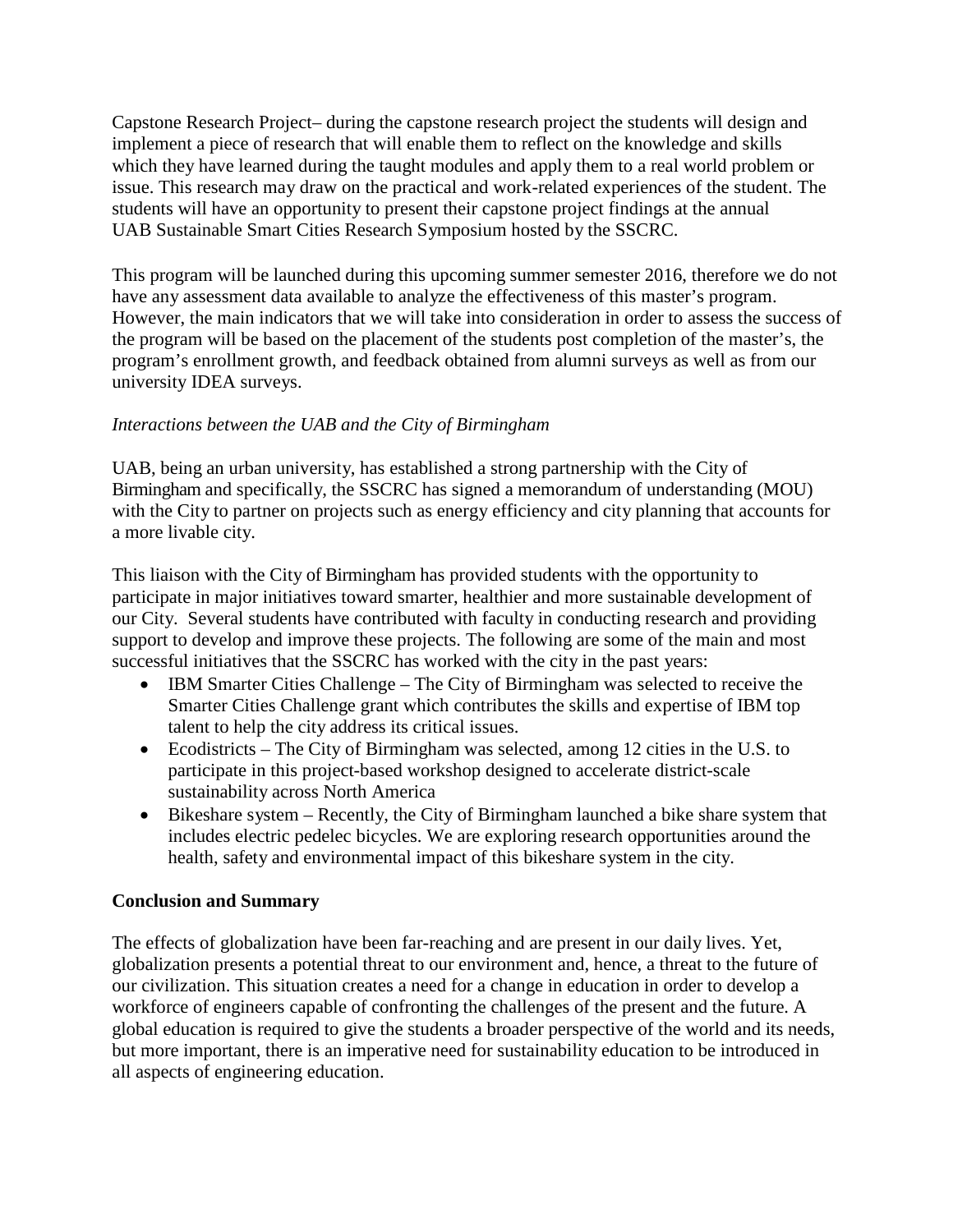Capstone Research Project– during the capstone research project the students will design and implement a piece of research that will enable them to reflect on the knowledge and skills which they have learned during the taught modules and apply them to a real world problem or issue. This research may draw on the practical and work-related experiences of the student. The students will have an opportunity to present their capstone project findings at the annual UAB Sustainable Smart Cities Research Symposium hosted by the SSCRC.

This program will be launched during this upcoming summer semester 2016, therefore we do not have any assessment data available to analyze the effectiveness of this master's program. However, the main indicators that we will take into consideration in order to assess the success of the program will be based on the placement of the students post completion of the master's, the program's enrollment growth, and feedback obtained from alumni surveys as well as from our university IDEA surveys.

### *Interactions between the UAB and the City of Birmingham*

UAB, being an urban university, has established a strong partnership with the City of Birmingham and specifically, the SSCRC has signed a memorandum of understanding (MOU) with the City to partner on projects such as energy efficiency and city planning that accounts for a more livable city.

This liaison with the City of Birmingham has provided students with the opportunity to participate in major initiatives toward smarter, healthier and more sustainable development of our City. Several students have contributed with faculty in conducting research and providing support to develop and improve these projects. The following are some of the main and most successful initiatives that the SSCRC has worked with the city in the past years:

- IBM Smarter Cities Challenge The City of Birmingham was selected to receive the Smarter Cities Challenge grant which contributes the skills and expertise of IBM top talent to help the city address its critical issues.
- Ecodistricts The City of Birmingham was selected, among 12 cities in the U.S. to participate in this project-based workshop designed to accelerate district-scale sustainability across North America
- Bikeshare system Recently, the City of Birmingham launched a bike share system that includes electric pedelec bicycles. We are exploring research opportunities around the health, safety and environmental impact of this bikeshare system in the city.

### **Conclusion and Summary**

The effects of globalization have been far-reaching and are present in our daily lives. Yet, globalization presents a potential threat to our environment and, hence, a threat to the future of our civilization. This situation creates a need for a change in education in order to develop a workforce of engineers capable of confronting the challenges of the present and the future. A global education is required to give the students a broader perspective of the world and its needs, but more important, there is an imperative need for sustainability education to be introduced in all aspects of engineering education.